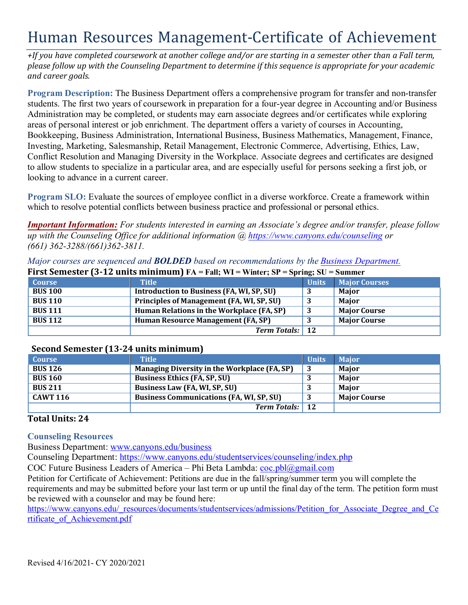# Human Resources Management-Certificate of Achievement

 *and career goals. +If you have completed coursework at another college and/or are starting in a semester other than a Fall term, please follow up with the Counseling Department to determine if this sequence is appropriate for your academic*

 **Program Description:** The Business Department offers a comprehensive program for transfer and non-transfer students. The first two years of coursework in preparation for a four-year degree in Accounting and/or Business Administration may be completed, or students may earn associate degrees and/or certificates while exploring looking to advance in a current career. areas of personal interest or job enrichment. The department offers a variety of courses in Accounting, Bookkeeping, Business Administration, International Business, Business Mathematics, Management, Finance, Investing, Marketing, Salesmanship, Retail Management, Electronic Commerce, Advertising, Ethics, Law, Conflict Resolution and Managing Diversity in the Workplace. Associate degrees and certificates are designed to allow students to specialize in a particular area, and are especially useful for persons seeking a first job, or

**Program SLO:** Evaluate the sources of employee conflict in a diverse workforce. Create a framework within which to resolve potential conflicts between business practice and professional or personal ethics.

 *up with the Counseling Office for additional information @<https://www.canyons.edu/counseling>or Important Information: For students interested in earning an Associate's degree and/or transfer, please follow (661) 362-3288/(661)362-3811.*

| First Semester (3-12 units minimum) $FA = Fall$ ; WI = Winter; SP = Spring; SU = Summer |                                           |              |                      |  |
|-----------------------------------------------------------------------------------------|-------------------------------------------|--------------|----------------------|--|
| <b>Course</b>                                                                           | <b>Title</b>                              | <b>Units</b> | <b>Major Courses</b> |  |
| <b>BUS 100</b>                                                                          | Introduction to Business (FA, WI, SP, SU) |              | Major                |  |
| <b>BUS 110</b>                                                                          | Principles of Management (FA, WI, SP, SU) |              | Maior                |  |
| <b>BUS 111</b>                                                                          | Human Relations in the Workplace (FA, SP) |              | <b>Major Course</b>  |  |
| <b>BUS 112</b>                                                                          | Human Resource Management (FA, SP)        |              | <b>Major Course</b>  |  |
|                                                                                         | <b>Term Totals:</b>                       | <b>12</b>    |                      |  |

#### *Major courses are sequenced and BOLDED based on recommendations by the Business Department.*

## **Second Semester (13-24 units minimum)**

| <b>Course</b>   | <b>Title</b>                                        | <b>Units</b> | <b>Major</b>        |
|-----------------|-----------------------------------------------------|--------------|---------------------|
| <b>BUS 126</b>  | <b>Managing Diversity in the Workplace (FA, SP)</b> |              | Major               |
| <b>BUS 160</b>  | <b>Business Ethics (FA, SP, SU)</b>                 |              | Major               |
| <b>BUS 211</b>  | Business Law (FA, WI, SP, SU)                       |              | <b>Major</b>        |
| <b>CAWT 116</b> | <b>Business Communications (FA, WI, SP, SU)</b>     |              | <b>Major Course</b> |
|                 | <b>Term Totals:</b> 12                              |              |                     |

### **Total Units: 24**

#### **Counseling Resources**

Business Department: [www.canyons.edu/business](http://www.canyons.edu/business) 

Counseling Department: <https://www.canyons.edu/studentservices/counseling/index.php>

COC Future Business Leaders of America - Phi Beta Lambda: [coc.pbl@gmail.com](mailto:coc.pbl@gmail.com)

 Petition for Certificate of Achievement: Petitions are due in the fall/spring/summer term you will complete the requirements and may be submitted before your last term or up until the final day of the term. The petition form must be reviewed with a counselor and may be found here:

https://www.canyons.edu/\_resources/documents/studentservices/admissions/Petition\_for\_Associate\_Degree\_and\_Ce rtificate\_of\_Achievement.pdf